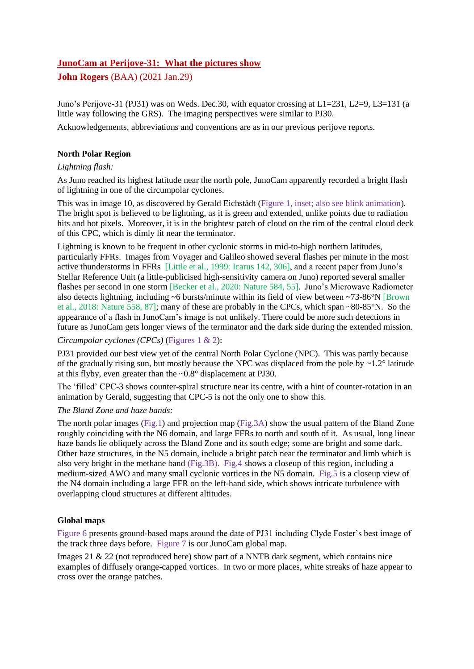# **JunoCam at Perijove-31: What the pictures show**

**John Rogers** (BAA) (2021 Jan.29)

Juno's Perijove-31 (PJ31) was on Weds. Dec.30, with equator crossing at L1=231, L2=9, L3=131 (a little way following the GRS). The imaging perspectives were similar to PJ30.

Acknowledgements, abbreviations and conventions are as in our previous perijove reports.

### **North Polar Region**

### *Lightning flash:*

As Juno reached its highest latitude near the north pole, JunoCam apparently recorded a bright flash of lightning in one of the circumpolar cyclones.

This was in image 10, as discovered by Gerald Eichstädt (Figure 1, inset; also see blink animation). The bright spot is believed to be lightning, as it is green and extended, unlike points due to radiation hits and hot pixels. Moreover, it is in the brightest patch of cloud on the rim of the central cloud deck of this CPC, which is dimly lit near the terminator.

Lightning is known to be frequent in other cyclonic storms in mid-to-high northern latitudes, particularly FFRs. Images from Voyager and Galileo showed several flashes per minute in the most active thunderstorms in FFRs [Little et al., 1999: Icarus 142, 306], and a recent paper from Juno's Stellar Reference Unit (a little-publicised high-sensitivity camera on Juno) reported several smaller flashes per second in one storm [Becker et al., 2020: Nature 584, 55]. Juno's Microwave Radiometer also detects lightning, including ~6 bursts/minute within its field of view between ~73-86°N [Brown et al., 2018: Nature 558, 87]; many of these are probably in the CPCs, which span ~80-85°N. So the appearance of a flash in JunoCam's image is not unlikely. There could be more such detections in future as JunoCam gets longer views of the terminator and the dark side during the extended mission.

### *Circumpolar cyclones (CPCs)* (Figures 1 & 2):

PJ31 provided our best view yet of the central North Polar Cyclone (NPC). This was partly because of the gradually rising sun, but mostly because the NPC was displaced from the pole by  $\sim$ 1.2° latitude at this flyby, even greater than the ~0.8° displacement at PJ30.

The 'filled' CPC-3 shows counter-spiral structure near its centre, with a hint of counter-rotation in an animation by Gerald, suggesting that CPC-5 is not the only one to show this.

### *The Bland Zone and haze bands:*

The north polar images (Fig.1) and projection map (Fig.3A) show the usual pattern of the Bland Zone roughly coinciding with the N6 domain, and large FFRs to north and south of it. As usual, long linear haze bands lie obliquely across the Bland Zone and its south edge; some are bright and some dark. Other haze structures, in the N5 domain, include a bright patch near the terminator and limb which is also very bright in the methane band (Fig.3B). Fig.4 shows a closeup of this region, including a medium-sized AWO and many small cyclonic vortices in the N5 domain. Fig.5 is a closeup view of the N4 domain including a large FFR on the left-hand side, which shows intricate turbulence with overlapping cloud structures at different altitudes.

## **Global maps**

Figure 6 presents ground-based maps around the date of PJ31 including Clyde Foster's best image of the track three days before. Figure 7 is our JunoCam global map.

Images 21 & 22 (not reproduced here) show part of a NNTB dark segment, which contains nice examples of diffusely orange-capped vortices. In two or more places, white streaks of haze appear to cross over the orange patches.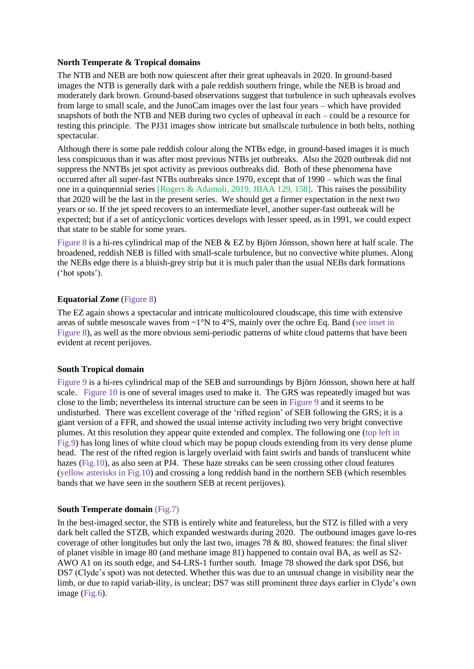#### **North Temperate & Tropical domains**

The NTB and NEB are both now quiescent after their great upheavals in 2020. In ground-based images the NTB is generally dark with a pale reddish southern fringe, while the NEB is broad and moderately dark brown. Ground-based observations suggest that turbulence in such upheavals evolves from large to small scale, and the JunoCam images over the last four years – which have provided snapshots of both the NTB and NEB during two cycles of upheaval in each – could be a resource for testing this principle. The PJ31 images show intricate but smallscale turbulence in both belts, nothing spectacular.

Although there is some pale reddish colour along the NTBs edge, in ground-based images it is much less conspicuous than it was after most previous NTBs jet outbreaks. Also the 2020 outbreak did not suppress the NNTBs jet spot activity as previous outbreaks did. Both of these phenomena have occurred after all super-fast NTBs outbreaks since 1970, except that of 1990 – which was the final one in a quinquennial series [Rogers & Adamoli, 2019, JBAA 129, 158]. This raises the possibility that 2020 will be the last in the present series. We should get a firmer expectation in the next two years or so. If the jet speed recovers to an intermediate level, another super-fast outbreak will be expected; but if a set of anticyclonic vortices develops with lesser speed, as in 1991, we could expect that state to be stable for some years.

Figure 8 is a hi-res cylindrical map of the NEB & EZ by Björn Jónsson, shown here at half scale. The broadened, reddish NEB is filled with small-scale turbulence, but no convective white plumes. Along the NEBs edge there is a bluish-grey strip but it is much paler than the usual NEBs dark formations ('hot spots').

### **Equatorial Zone** (Figure 8)

The EZ again shows a spectacular and intricate multicoloured cloudscape, this time with extensive areas of subtle mesoscale waves from ~1°N to 4°S, mainly over the ochre Eq. Band (see inset in Figure 8), as well as the more obvious semi-periodic patterns of white cloud patterns that have been evident at recent perijoves.

### **South Tropical domain**

Figure 9 is a hi-res cylindrical map of the SEB and surroundings by Björn Jónsson, shown here at half scale. Figure 10 is one of several images used to make it. The GRS was repeatedly imaged but was close to the limb; nevertheless its internal structure can be seen in Figure 9 and it seems to be undisturbed. There was excellent coverage of the 'rifted region' of SEB following the GRS; it is a giant version of a FFR, and showed the usual intense activity including two very bright convective plumes. At this resolution they appear quite extended and complex. The following one (top left in Fig.9) has long lines of white cloud which may be popup clouds extending from its very dense plume head. The rest of the rifted region is largely overlaid with faint swirls and bands of translucent white hazes (Fig.10), as also seen at PJ4. These haze streaks can be seen crossing other cloud features (yellow asterisks in Fig.10) and crossing a long reddish band in the northern SEB (which resembles bands that we have seen in the southern SEB at recent perijoves).

### **South Temperate domain** (Fig.7)

In the best-imaged sector, the STB is entirely white and featureless, but the STZ is filled with a very dark belt called the STZB, which expanded westwards during 2020. The outbound images gave lo-res coverage of other longitudes but only the last two, images 78 & 80, showed features: the final sliver of planet visible in image 80 (and methane image 81) happened to contain oval BA, as well as S2- AWO A1 on its south edge, and S4-LRS-1 further south. Image 78 showed the dark spot DS6, but DS7 (Clyde's spot) was not detected. Whether this was due to an unusual change in visibility near the limb, or due to rapid variab-ility, is unclear; DS7 was still prominent three days earlier in Clyde's own image (Fig.6).